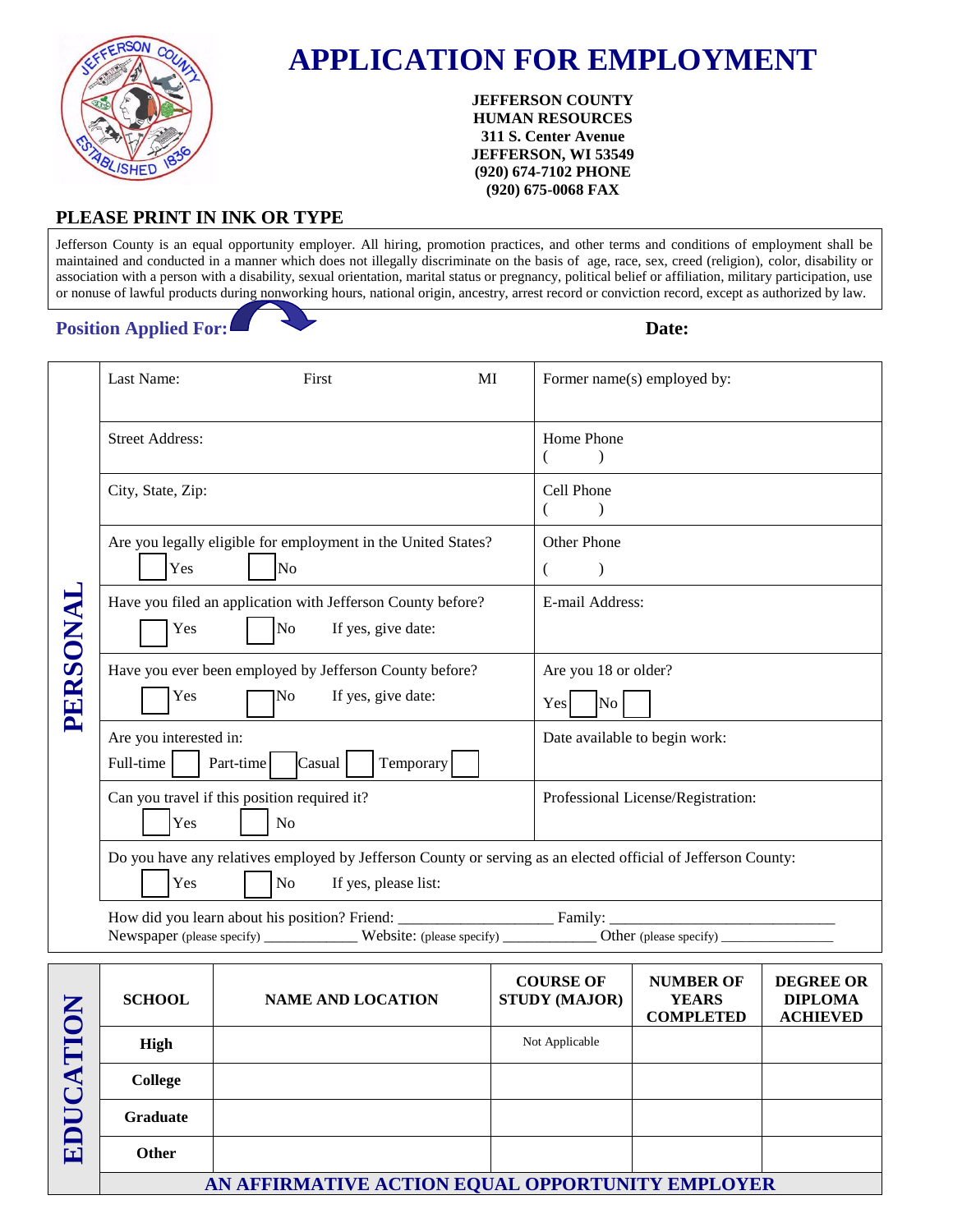

# **APPLICATION FOR EMPLOYMENT**

#### **JEFFERSON COUNTY HUMAN RESOURCES 311 S. Center Avenue JEFFERSON, WI 53549 (920) 674-7102 PHONE (920) 675-0068 FAX**

#### **PLEASE PRINT IN INK OR TYPE**

Jefferson County is an equal opportunity employer. All hiring, promotion practices, and other terms and conditions of employment shall be maintained and conducted in a manner which does not illegally discriminate on the basis of age, race, sex, creed (religion), color, disability or association with a person with a disability, sexual orientation, marital status or pregnancy, political belief or affiliation, military participation, use or nonuse of lawful products during nonworking hours, national origin, ancestry, arrest record or conviction record, except as authorized by law.

#### **Position Applied For: Date: Date:**

| Last Name:                          | First                                                                                   | MI<br>Former name(s) employed by:                                                                              |
|-------------------------------------|-----------------------------------------------------------------------------------------|----------------------------------------------------------------------------------------------------------------|
| <b>Street Address:</b>              |                                                                                         | Home Phone                                                                                                     |
| City, State, Zip:                   |                                                                                         | Cell Phone                                                                                                     |
| Yes                                 | Are you legally eligible for employment in the United States?<br>N <sub>o</sub>         | <b>Other Phone</b><br>$\left($                                                                                 |
| Yes                                 | Have you filed an application with Jefferson County before?<br>No<br>If yes, give date: | E-mail Address:                                                                                                |
| PERSONAI<br>Yes                     | Have you ever been employed by Jefferson County before?<br>If yes, give date:<br>No     | Are you 18 or older?<br>No<br>Yes                                                                              |
| Are you interested in:<br>Full-time | Temporary<br>Part-time<br>Casual                                                        | Date available to begin work:                                                                                  |
| Yes                                 | Can you travel if this position required it?<br>N <sub>o</sub>                          | Professional License/Registration:                                                                             |
| Yes                                 | N <sub>o</sub><br>If yes, please list:                                                  | Do you have any relatives employed by Jefferson County or serving as an elected official of Jefferson County:  |
|                                     |                                                                                         | Newspaper (please specify) ___________ Website: (please specify) ___________ Other (please specify) __________ |

| $\sum$<br>⋖<br>囙 | <b>SCHOOL</b>   | <b>NAME AND LOCATION</b>                         | <b>COURSE OF</b><br><b>STUDY (MAJOR)</b> | <b>NUMBER OF</b><br><b>YEARS</b><br><b>COMPLETED</b> | <b>DEGREE OR</b><br><b>DIPLOMA</b><br><b>ACHIEVED</b> |
|------------------|-----------------|--------------------------------------------------|------------------------------------------|------------------------------------------------------|-------------------------------------------------------|
|                  | High            |                                                  | Not Applicable                           |                                                      |                                                       |
|                  | College         |                                                  |                                          |                                                      |                                                       |
|                  | <b>Graduate</b> |                                                  |                                          |                                                      |                                                       |
|                  | <b>Other</b>    |                                                  |                                          |                                                      |                                                       |
|                  |                 | AN AFFIRMATIVE ACTION EQUAL OPPORTUNITY EMPLOYER |                                          |                                                      |                                                       |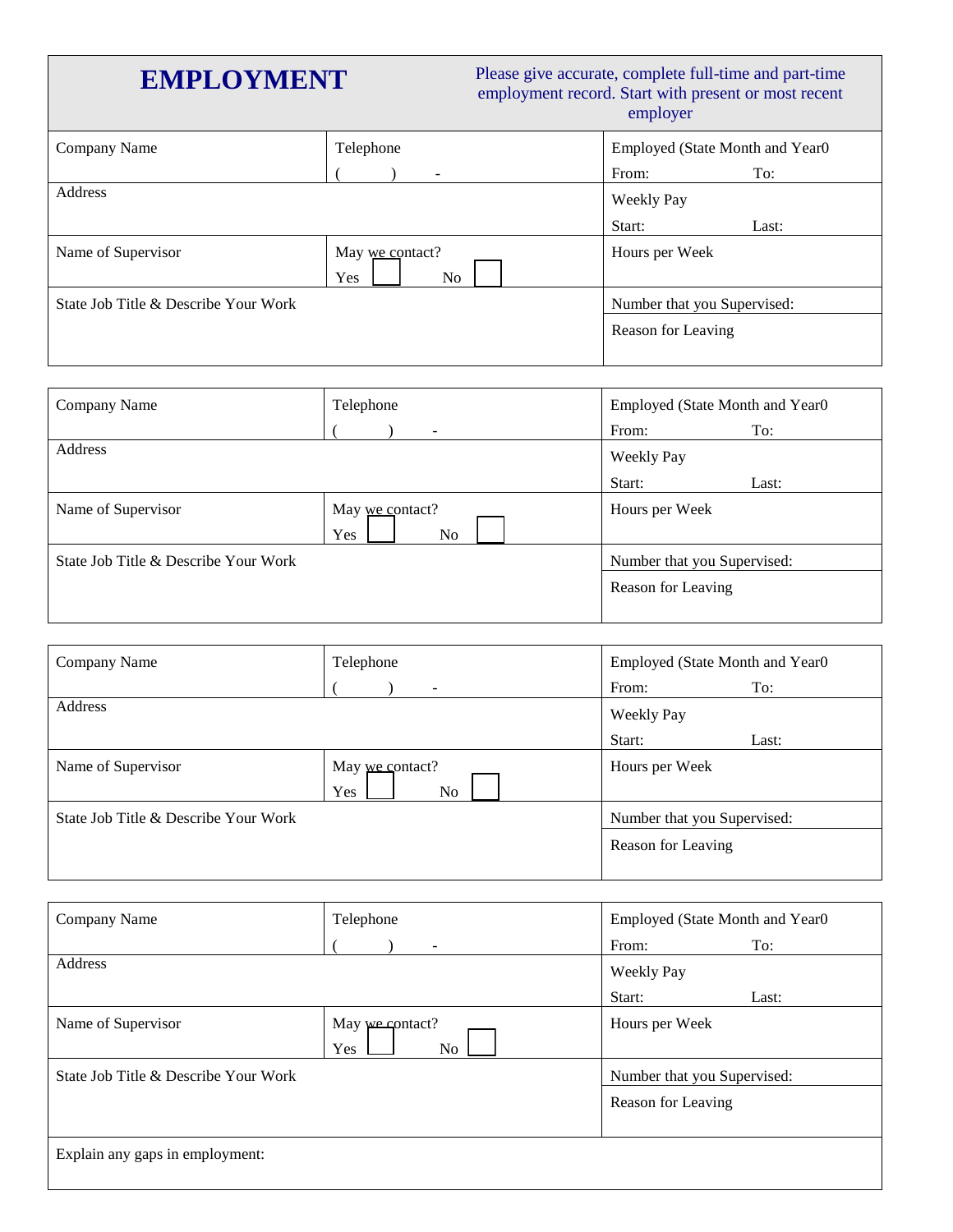## **EMPLOYMENT** Please give accurate, complete full-time and part-time employment record. Start with present or most recent employer

| Company Name                         | Telephone                    | Employed (State Month and Year0) |       |
|--------------------------------------|------------------------------|----------------------------------|-------|
|                                      | $\overline{\phantom{0}}$     | From:                            | To:   |
| Address                              |                              | Weekly Pay                       |       |
|                                      |                              | Start:                           | Last: |
| Name of Supervisor                   | May we contact?<br>Yes<br>No | Hours per Week                   |       |
| State Job Title & Describe Your Work |                              | Number that you Supervised:      |       |
|                                      |                              | Reason for Leaving               |       |

| Company Name                         | Telephone                                | Employed (State Month and Year0 |  |
|--------------------------------------|------------------------------------------|---------------------------------|--|
|                                      | $\overline{\phantom{0}}$                 | From:<br>To:                    |  |
| Address                              | Weekly Pay                               |                                 |  |
|                                      |                                          | Start:<br>Last:                 |  |
| Name of Supervisor                   | May we contact?<br>Yes<br>N <sub>o</sub> | Hours per Week                  |  |
| State Job Title & Describe Your Work | Number that you Supervised:              |                                 |  |
|                                      |                                          | Reason for Leaving              |  |

| Company Name                         | Telephone                                | Employed (State Month and Year0) |       |
|--------------------------------------|------------------------------------------|----------------------------------|-------|
|                                      |                                          | From:                            | To:   |
| Address                              | <b>Weekly Pay</b>                        |                                  |       |
|                                      |                                          | Start:                           | Last: |
| Name of Supervisor                   | May we contact?<br>Yes<br>N <sub>o</sub> | Hours per Week                   |       |
| State Job Title & Describe Your Work |                                          | Number that you Supervised:      |       |
|                                      |                                          | Reason for Leaving               |       |

| Company Name                         | Telephone                                | Employed (State Month and Year0) |  |
|--------------------------------------|------------------------------------------|----------------------------------|--|
|                                      |                                          | From:<br>To:                     |  |
| Address                              | <b>Weekly Pay</b>                        |                                  |  |
|                                      |                                          | Start:<br>Last:                  |  |
| Name of Supervisor                   | May we contact?<br>Yes<br>N <sub>o</sub> | Hours per Week                   |  |
| State Job Title & Describe Your Work | Number that you Supervised:              |                                  |  |
|                                      |                                          | Reason for Leaving               |  |
| Explain any gaps in employment:      |                                          |                                  |  |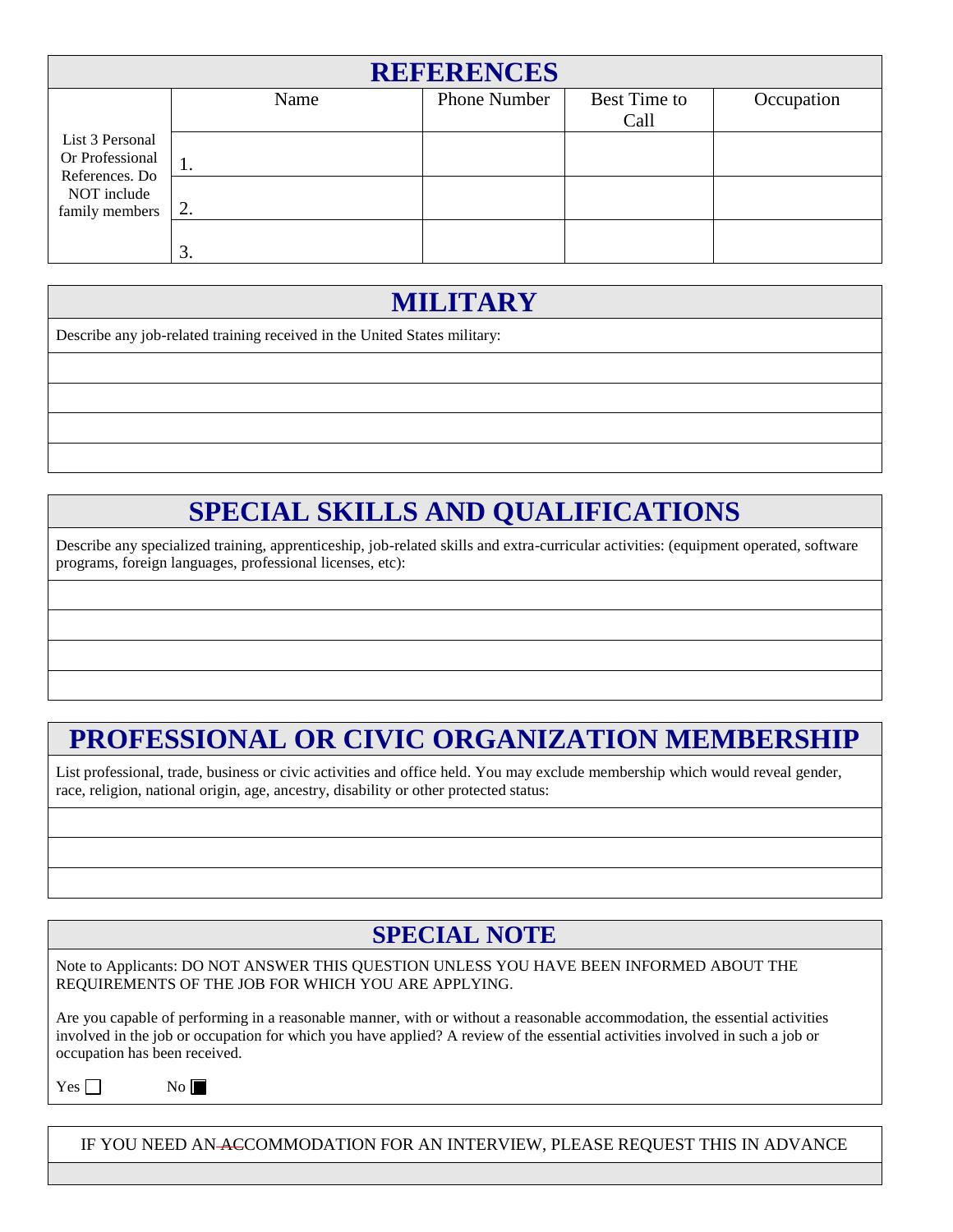| <b>REFERENCES</b>                 |      |                     |              |            |  |  |  |
|-----------------------------------|------|---------------------|--------------|------------|--|--|--|
|                                   | Name | <b>Phone Number</b> | Best Time to | Occupation |  |  |  |
|                                   |      |                     | Call         |            |  |  |  |
| List 3 Personal                   |      |                     |              |            |  |  |  |
| Or Professional<br>References. Do | 1.   |                     |              |            |  |  |  |
| NOT include                       |      |                     |              |            |  |  |  |
| family members                    | 2.   |                     |              |            |  |  |  |
|                                   |      |                     |              |            |  |  |  |
|                                   | 3.   |                     |              |            |  |  |  |

# **MILITARY**

Describe any job-related training received in the United States military:

## **SPECIAL SKILLS AND QUALIFICATIONS**

Describe any specialized training, apprenticeship, job-related skills and extra-curricular activities: (equipment operated, software programs, foreign languages, professional licenses, etc):

# **PROFESSIONAL OR CIVIC ORGANIZATION MEMBERSHIP**

List professional, trade, business or civic activities and office held. You may exclude membership which would reveal gender, race, religion, national origin, age, ancestry, disability or other protected status:

### **SPECIAL NOTE**

Note to Applicants: DO NOT ANSWER THIS QUESTION UNLESS YOU HAVE BEEN INFORMED ABOUT THE REQUIREMENTS OF THE JOB FOR WHICH YOU ARE APPLYING.

Are you capable of performing in a reasonable manner, with or without a reasonable accommodation, the essential activities involved in the job or occupation for which you have applied? A review of the essential activities involved in such a job or occupation has been received.

 $Yes$   $\Box$ 

 $No \blacksquare$ 

IF YOU NEED AN ACCOMMODATION FOR AN INTERVIEW, PLEASE REQUEST THIS IN ADVANCE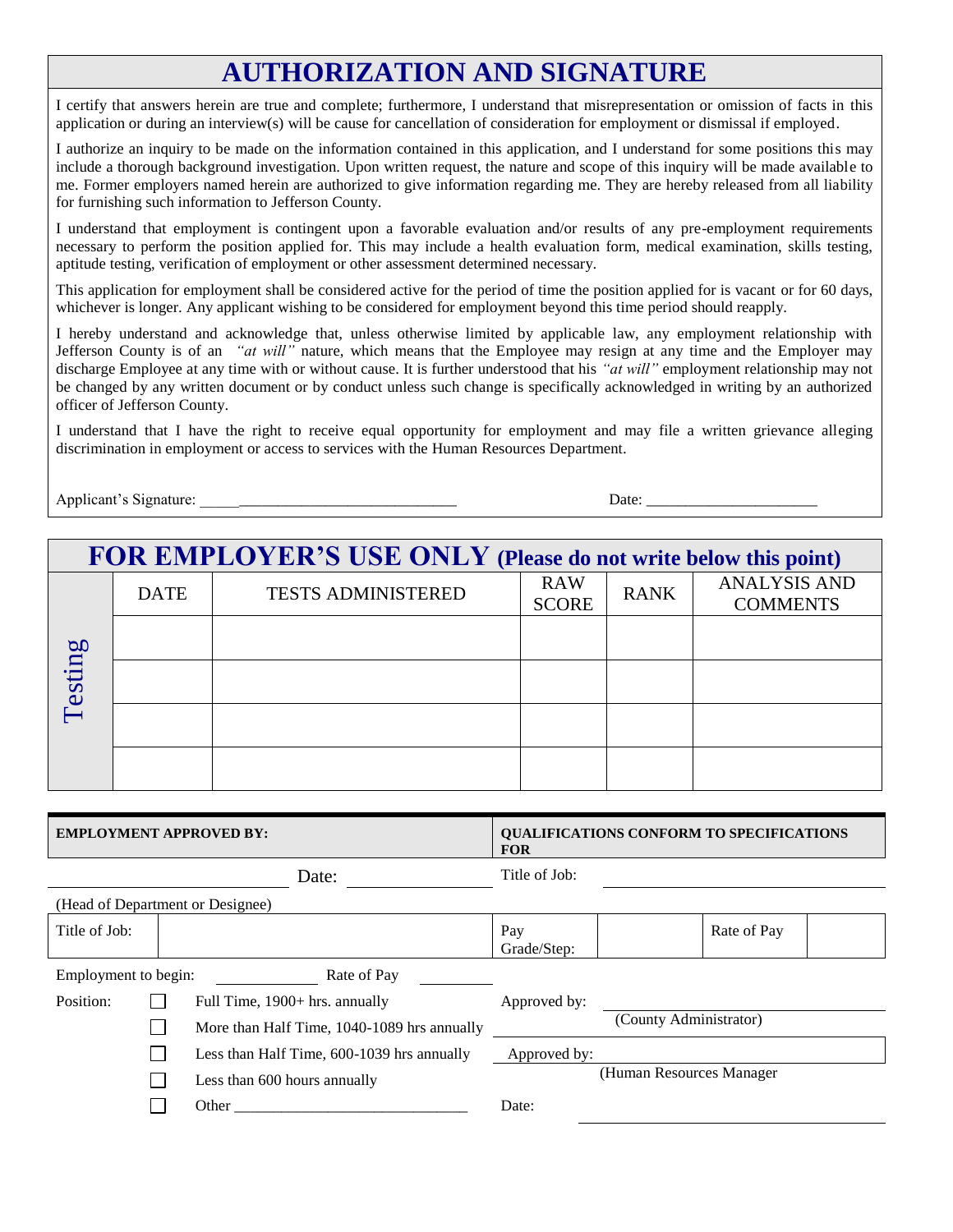## **AUTHORIZATION AND SIGNATURE**

I certify that answers herein are true and complete; furthermore, I understand that misrepresentation or omission of facts in this application or during an interview(s) will be cause for cancellation of consideration for employment or dismissal if employed.

I authorize an inquiry to be made on the information contained in this application, and I understand for some positions this may include a thorough background investigation. Upon written request, the nature and scope of this inquiry will be made available to me. Former employers named herein are authorized to give information regarding me. They are hereby released from all liability for furnishing such information to Jefferson County.

I understand that employment is contingent upon a favorable evaluation and/or results of any pre-employment requirements necessary to perform the position applied for. This may include a health evaluation form, medical examination, skills testing, aptitude testing, verification of employment or other assessment determined necessary.

This application for employment shall be considered active for the period of time the position applied for is vacant or for 60 days, whichever is longer. Any applicant wishing to be considered for employment beyond this time period should reapply.

I hereby understand and acknowledge that, unless otherwise limited by applicable law, any employment relationship with Jefferson County is of an *"at will"* nature, which means that the Employee may resign at any time and the Employer may discharge Employee at any time with or without cause. It is further understood that his *"at will"* employment relationship may not be changed by any written document or by conduct unless such change is specifically acknowledged in writing by an authorized officer of Jefferson County.

I understand that I have the right to receive equal opportunity for employment and may file a written grievance alleging discrimination in employment or access to services with the Human Resources Department.

| Applicant <sup>®</sup><br>301176<br>----<br>. IV | Jate |  |
|--------------------------------------------------|------|--|
| aldul C                                          |      |  |

|         | FOR EMPLOYER'S USE ONLY (Please do not write below this point) |                                           |  |             |                                        |  |  |  |
|---------|----------------------------------------------------------------|-------------------------------------------|--|-------------|----------------------------------------|--|--|--|
|         | <b>DATE</b>                                                    | <b>TESTS ADMINISTERED</b><br><b>SCORE</b> |  | <b>RANK</b> | <b>ANALYSIS AND</b><br><b>COMMENTS</b> |  |  |  |
|         |                                                                |                                           |  |             |                                        |  |  |  |
| Testing |                                                                |                                           |  |             |                                        |  |  |  |
|         |                                                                |                                           |  |             |                                        |  |  |  |
|         |                                                                |                                           |  |             |                                        |  |  |  |

| <b>EMPLOYMENT APPROVED BY:</b> |  | <b>QUALIFICATIONS CONFORM TO SPECIFICATIONS</b><br><b>FOR</b> |                    |                           |
|--------------------------------|--|---------------------------------------------------------------|--------------------|---------------------------|
|                                |  | Date:                                                         | Title of Job:      |                           |
|                                |  | (Head of Department or Designee)                              |                    |                           |
| Title of Job:                  |  |                                                               | Pay<br>Grade/Step: | Rate of Pay               |
| Employment to begin:           |  | Rate of Pay                                                   |                    |                           |
| Position:                      |  | Full Time, 1900+ hrs. annually                                | Approved by:       |                           |
|                                |  | More than Half Time, 1040-1089 hrs annually                   |                    | (County Administrator)    |
|                                |  | Less than Half Time, 600-1039 hrs annually                    | Approved by:       |                           |
|                                |  | Less than 600 hours annually                                  |                    | (Human Resources Manager) |
|                                |  | Other                                                         | Date:              |                           |